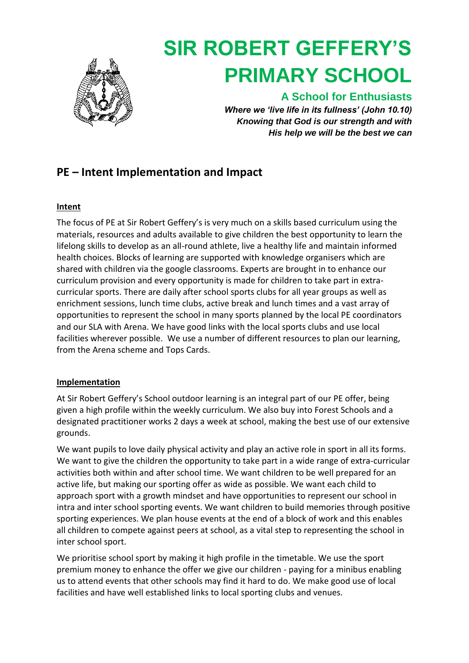

# **SIR ROBERT GEFFERY'S PRIMARY SCHOOL**

### **A School for Enthusiasts**

*Where we 'live life in its fullness' (John 10.10) Knowing that God is our strength and with His help we will be the best we can*

## **PE – Intent Implementation and Impact**

#### **Intent**

The focus of PE at Sir Robert Geffery's is very much on a skills based curriculum using the materials, resources and adults available to give children the best opportunity to learn the lifelong skills to develop as an all-round athlete, live a healthy life and maintain informed health choices. Blocks of learning are supported with knowledge organisers which are shared with children via the google classrooms. Experts are brought in to enhance our curriculum provision and every opportunity is made for children to take part in extracurricular sports. There are daily after school sports clubs for all year groups as well as enrichment sessions, lunch time clubs, active break and lunch times and a vast array of opportunities to represent the school in many sports planned by the local PE coordinators and our SLA with Arena. We have good links with the local sports clubs and use local facilities wherever possible. We use a number of different resources to plan our learning, from the Arena scheme and Tops Cards.

#### **Implementation**

At Sir Robert Geffery's School outdoor learning is an integral part of our PE offer, being given a high profile within the weekly curriculum. We also buy into Forest Schools and a designated practitioner works 2 days a week at school, making the best use of our extensive grounds.

We want pupils to love daily physical activity and play an active role in sport in all its forms. We want to give the children the opportunity to take part in a wide range of extra-curricular activities both within and after school time. We want children to be well prepared for an active life, but making our sporting offer as wide as possible. We want each child to approach sport with a growth mindset and have opportunities to represent our school in intra and inter school sporting events. We want children to build memories through positive sporting experiences. We plan house events at the end of a block of work and this enables all children to compete against peers at school, as a vital step to representing the school in inter school sport.

We prioritise school sport by making it high profile in the timetable. We use the sport premium money to enhance the offer we give our children - paying for a minibus enabling us to attend events that other schools may find it hard to do. We make good use of local facilities and have well established links to local sporting clubs and venues.